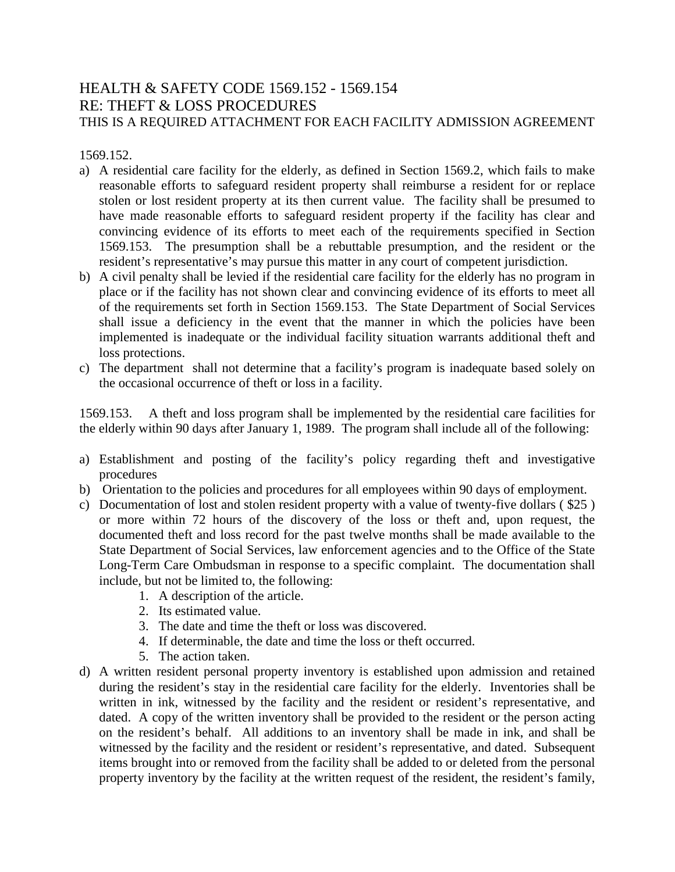## HEALTH & SAFETY CODE 1569.152 - 1569.154 RE: THEFT & LOSS PROCEDURES THIS IS A REQUIRED ATTACHMENT FOR EACH FACILITY ADMISSION AGREEMENT

1569.152.

- a) A residential care facility for the elderly, as defined in Section 1569.2, which fails to make reasonable efforts to safeguard resident property shall reimburse a resident for or replace stolen or lost resident property at its then current value. The facility shall be presumed to have made reasonable efforts to safeguard resident property if the facility has clear and convincing evidence of its efforts to meet each of the requirements specified in Section 1569.153. The presumption shall be a rebuttable presumption, and the resident or the resident's representative's may pursue this matter in any court of competent jurisdiction.
- b) A civil penalty shall be levied if the residential care facility for the elderly has no program in place or if the facility has not shown clear and convincing evidence of its efforts to meet all of the requirements set forth in Section 1569.153. The State Department of Social Services shall issue a deficiency in the event that the manner in which the policies have been implemented is inadequate or the individual facility situation warrants additional theft and loss protections.
- c) The department shall not determine that a facility's program is inadequate based solely on the occasional occurrence of theft or loss in a facility.

1569.153. A theft and loss program shall be implemented by the residential care facilities for the elderly within 90 days after January 1, 1989. The program shall include all of the following:

- a) Establishment and posting of the facility's policy regarding theft and investigative procedures
- b) Orientation to the policies and procedures for all employees within 90 days of employment.
- c) Documentation of lost and stolen resident property with a value of twenty-five dollars ( \$25 ) or more within 72 hours of the discovery of the loss or theft and, upon request, the documented theft and loss record for the past twelve months shall be made available to the State Department of Social Services, law enforcement agencies and to the Office of the State Long-Term Care Ombudsman in response to a specific complaint. The documentation shall include, but not be limited to, the following:
	- 1. A description of the article.
	- 2. Its estimated value.
	- 3. The date and time the theft or loss was discovered.
	- 4. If determinable, the date and time the loss or theft occurred.
	- 5. The action taken.
- d) A written resident personal property inventory is established upon admission and retained during the resident's stay in the residential care facility for the elderly. Inventories shall be written in ink, witnessed by the facility and the resident or resident's representative, and dated. A copy of the written inventory shall be provided to the resident or the person acting on the resident's behalf. All additions to an inventory shall be made in ink, and shall be witnessed by the facility and the resident or resident's representative, and dated. Subsequent items brought into or removed from the facility shall be added to or deleted from the personal property inventory by the facility at the written request of the resident, the resident's family,